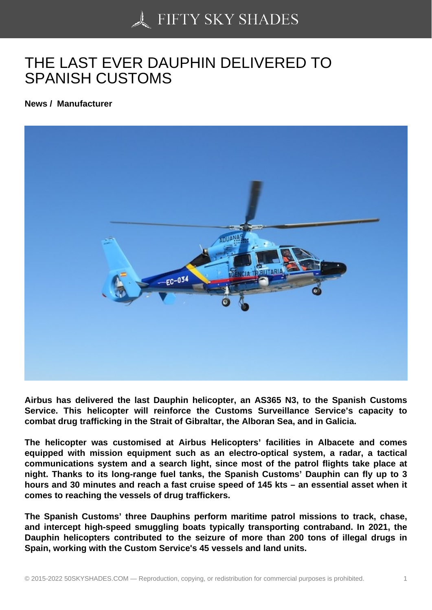## [THE LAST EVER DAU](https://50skyshades.com)PHIN DELIVERED TO SPANISH CUSTOMS

News / Manufacturer

Airbus has delivered the last Dauphin helicopter, an AS365 N3, to the Spanish Customs Service. This helicopter will reinforce the Customs Surveillance Service's capacity to combat drug trafficking in the Strait of Gibraltar, the Alboran Sea, and in Galicia.

The helicopter was customised at Airbus Helicopters' facilities in Albacete and comes equipped with mission equipment such as an electro-optical system, a radar, a tactical communications system and a search light, since most of the patrol flights take place at night. Thanks to its long-range fuel tanks, the Spanish Customs' Dauphin can fly up to 3 hours and 30 minutes and reach a fast cruise speed of 145 kts – an essential asset when it comes to reaching the vessels of drug traffickers.

The Spanish Customs' three Dauphins perform maritime patrol missions to track, chase, and intercept high-speed smuggling boats typically transporting contraband. In 2021, the Dauphin helicopters contributed to the seizure of more than 200 tons of illegal drugs in Spain, working with the Custom Service's 45 vessels and land units.